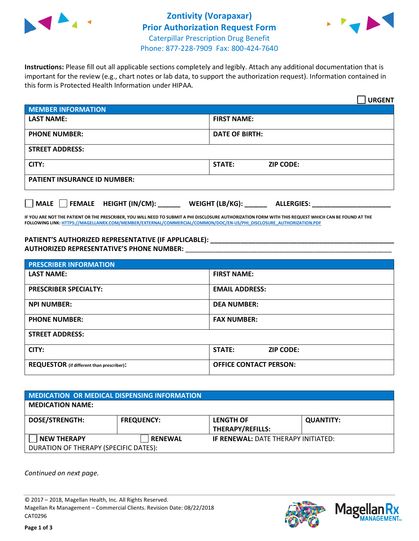



**Instructions:** Please fill out all applicable sections completely and legibly. Attach any additional documentation that is important for the review (e.g., chart notes or lab data, to support the authorization request). Information contained in this form is Protected Health Information under HIPAA.

|                                       | <b>URGENT</b>                        |  |  |
|---------------------------------------|--------------------------------------|--|--|
| <b>MEMBER INFORMATION</b>             |                                      |  |  |
| <b>LAST NAME:</b>                     | <b>FIRST NAME:</b>                   |  |  |
| <b>PHONE NUMBER:</b>                  | <b>DATE OF BIRTH:</b>                |  |  |
| <b>STREET ADDRESS:</b>                |                                      |  |  |
| CITY:                                 | <b>ZIP CODE:</b><br>STATE:           |  |  |
| <b>PATIENT INSURANCE ID NUMBER:</b>   |                                      |  |  |
| FEMALE HEIGHT (IN/CM):<br><b>MALE</b> | WEIGHT (LB/KG):<br><b>ALLERGIES:</b> |  |  |

**IF YOU ARE NOT THE PATIENT OR THE PRESCRIBER, YOU WILL NEED TO SUBMIT A PHI DISCLOSURE AUTHORIZATION FORM WITH THIS REQUEST WHICH CAN BE FOUND AT THE FOLLOWING LINK[: HTTPS://MAGELLANRX.COM/MEMBER/EXTERNAL/COMMERCIAL/COMMON/DOC/EN-US/PHI\\_DISCLOSURE\\_AUTHORIZATION.PDF](https://magellanrx.com/member/external/commercial/common/doc/en-us/PHI_Disclosure_Authorization.pdf)**

**PATIENT'S AUTHORIZED REPRESENTATIVE (IF APPLICABLE): \_\_\_\_\_\_\_\_\_\_\_\_\_\_\_\_\_\_\_\_\_\_\_\_\_\_\_\_\_\_\_\_\_\_\_\_\_\_\_\_\_\_\_\_\_\_\_\_\_ AUTHORIZED REPRESENTATIVE'S PHONE NUMBER:** \_\_\_\_\_\_\_\_\_\_\_\_\_\_\_\_\_\_\_\_\_\_\_\_\_\_\_\_\_\_\_\_\_\_\_\_\_\_\_\_\_\_\_\_\_\_\_\_\_\_\_\_\_\_\_

| <b>PRESCRIBER INFORMATION</b>             |                               |  |  |  |
|-------------------------------------------|-------------------------------|--|--|--|
| <b>LAST NAME:</b>                         | <b>FIRST NAME:</b>            |  |  |  |
| <b>PRESCRIBER SPECIALTY:</b>              | <b>EMAIL ADDRESS:</b>         |  |  |  |
| <b>NPI NUMBER:</b>                        | <b>DEA NUMBER:</b>            |  |  |  |
| <b>PHONE NUMBER:</b>                      | <b>FAX NUMBER:</b>            |  |  |  |
| <b>STREET ADDRESS:</b>                    |                               |  |  |  |
| CITY:                                     | STATE:<br><b>ZIP CODE:</b>    |  |  |  |
| REQUESTOR (if different than prescriber): | <b>OFFICE CONTACT PERSON:</b> |  |  |  |

| <b>MEDICATION OR MEDICAL DISPENSING INFORMATION</b> |                   |                                            |                  |  |  |
|-----------------------------------------------------|-------------------|--------------------------------------------|------------------|--|--|
| <b>MEDICATION NAME:</b>                             |                   |                                            |                  |  |  |
| <b>DOSE/STRENGTH:</b>                               | <b>FREQUENCY:</b> | <b>LENGTH OF</b>                           | <b>QUANTITY:</b> |  |  |
|                                                     |                   | <b>THERAPY/REFILLS:</b>                    |                  |  |  |
| <b>NEW THERAPY</b>                                  | <b>RENEWAL</b>    | <b>IF RENEWAL: DATE THERAPY INITIATED:</b> |                  |  |  |
| DURATION OF THERAPY (SPECIFIC DATES):               |                   |                                            |                  |  |  |

*Continued on next page.*

© 2017 – 2018, Magellan Health, Inc. All Rights Reserved. Magellan Rx Management – Commercial Clients. Revision Date: 08/22/2018 CAT0296



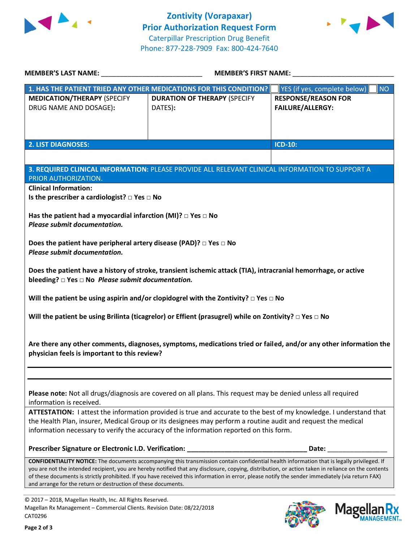



| <b>MEMBER'S LAST NAME:</b>                                                                                                                                                                                        | <b>MEMBER'S FIRST NAME:</b>                                                                                                                                                                                                                                                                               |                                                       |  |  |
|-------------------------------------------------------------------------------------------------------------------------------------------------------------------------------------------------------------------|-----------------------------------------------------------------------------------------------------------------------------------------------------------------------------------------------------------------------------------------------------------------------------------------------------------|-------------------------------------------------------|--|--|
|                                                                                                                                                                                                                   | 1. HAS THE PATIENT TRIED ANY OTHER MEDICATIONS FOR THIS CONDITION?                                                                                                                                                                                                                                        | YES (if yes, complete below)  <br><b>NO</b>           |  |  |
| <b>MEDICATION/THERAPY (SPECIFY</b><br>DRUG NAME AND DOSAGE):                                                                                                                                                      | <b>DURATION OF THERAPY (SPECIFY</b><br>DATES):                                                                                                                                                                                                                                                            | <b>RESPONSE/REASON FOR</b><br><b>FAILURE/ALLERGY:</b> |  |  |
|                                                                                                                                                                                                                   |                                                                                                                                                                                                                                                                                                           |                                                       |  |  |
|                                                                                                                                                                                                                   |                                                                                                                                                                                                                                                                                                           |                                                       |  |  |
| <b>2. LIST DIAGNOSES:</b>                                                                                                                                                                                         |                                                                                                                                                                                                                                                                                                           | <b>ICD-10:</b>                                        |  |  |
|                                                                                                                                                                                                                   |                                                                                                                                                                                                                                                                                                           |                                                       |  |  |
|                                                                                                                                                                                                                   | 3. REQUIRED CLINICAL INFORMATION: PLEASE PROVIDE ALL RELEVANT CLINICAL INFORMATION TO SUPPORT A                                                                                                                                                                                                           |                                                       |  |  |
| PRIOR AUTHORIZATION.<br><b>Clinical Information:</b>                                                                                                                                                              |                                                                                                                                                                                                                                                                                                           |                                                       |  |  |
| Is the prescriber a cardiologist? $\square$ Yes $\square$ No                                                                                                                                                      |                                                                                                                                                                                                                                                                                                           |                                                       |  |  |
| Has the patient had a myocardial infarction (MI)? $\Box$ Yes $\Box$ No                                                                                                                                            |                                                                                                                                                                                                                                                                                                           |                                                       |  |  |
| Please submit documentation.                                                                                                                                                                                      |                                                                                                                                                                                                                                                                                                           |                                                       |  |  |
| Does the patient have peripheral artery disease (PAD)? $\Box$ Yes $\Box$ No                                                                                                                                       |                                                                                                                                                                                                                                                                                                           |                                                       |  |  |
| Please submit documentation.                                                                                                                                                                                      |                                                                                                                                                                                                                                                                                                           |                                                       |  |  |
|                                                                                                                                                                                                                   |                                                                                                                                                                                                                                                                                                           |                                                       |  |  |
| bleeding? $\square$ Yes $\square$ No Please submit documentation.                                                                                                                                                 | Does the patient have a history of stroke, transient ischemic attack (TIA), intracranial hemorrhage, or active                                                                                                                                                                                            |                                                       |  |  |
|                                                                                                                                                                                                                   |                                                                                                                                                                                                                                                                                                           |                                                       |  |  |
|                                                                                                                                                                                                                   | Will the patient be using aspirin and/or clopidogrel with the Zontivity? $\Box$ Yes $\Box$ No                                                                                                                                                                                                             |                                                       |  |  |
|                                                                                                                                                                                                                   | Will the patient be using Brilinta (ticagrelor) or Effient (prasugrel) while on Zontivity? $\Box$ Yes $\Box$ No                                                                                                                                                                                           |                                                       |  |  |
|                                                                                                                                                                                                                   |                                                                                                                                                                                                                                                                                                           |                                                       |  |  |
| Are there any other comments, diagnoses, symptoms, medications tried or failed, and/or any other information the                                                                                                  |                                                                                                                                                                                                                                                                                                           |                                                       |  |  |
| physician feels is important to this review?                                                                                                                                                                      |                                                                                                                                                                                                                                                                                                           |                                                       |  |  |
|                                                                                                                                                                                                                   |                                                                                                                                                                                                                                                                                                           |                                                       |  |  |
|                                                                                                                                                                                                                   |                                                                                                                                                                                                                                                                                                           |                                                       |  |  |
| Please note: Not all drugs/diagnosis are covered on all plans. This request may be denied unless all required<br>information is received.                                                                         |                                                                                                                                                                                                                                                                                                           |                                                       |  |  |
| ATTESTATION: I attest the information provided is true and accurate to the best of my knowledge. I understand that                                                                                                |                                                                                                                                                                                                                                                                                                           |                                                       |  |  |
| the Health Plan, insurer, Medical Group or its designees may perform a routine audit and request the medical<br>information necessary to verify the accuracy of the information reported on this form.            |                                                                                                                                                                                                                                                                                                           |                                                       |  |  |
|                                                                                                                                                                                                                   |                                                                                                                                                                                                                                                                                                           |                                                       |  |  |
|                                                                                                                                                                                                                   |                                                                                                                                                                                                                                                                                                           |                                                       |  |  |
|                                                                                                                                                                                                                   | <b>CONFIDENTIALITY NOTICE:</b> The documents accompanying this transmission contain confidential health information that is legally privileged. If<br>you are not the intended recipient, you are hereby notified that any disclosure, copying, distribution, or action taken in reliance on the contents |                                                       |  |  |
| of these documents is strictly prohibited. If you have received this information in error, please notify the sender immediately (via return FAX)<br>and arrange for the return or destruction of these documents. |                                                                                                                                                                                                                                                                                                           |                                                       |  |  |
|                                                                                                                                                                                                                   |                                                                                                                                                                                                                                                                                                           |                                                       |  |  |
| © 2017 - 2018, Magellan Health, Inc. All Rights Reserved.                                                                                                                                                         |                                                                                                                                                                                                                                                                                                           |                                                       |  |  |

Magellan Rx Management – Commercial Clients. Revision Date: 08/22/2018 CAT0296



Mage

**an Rx<br><sup>NAGEMENT...**</sup>